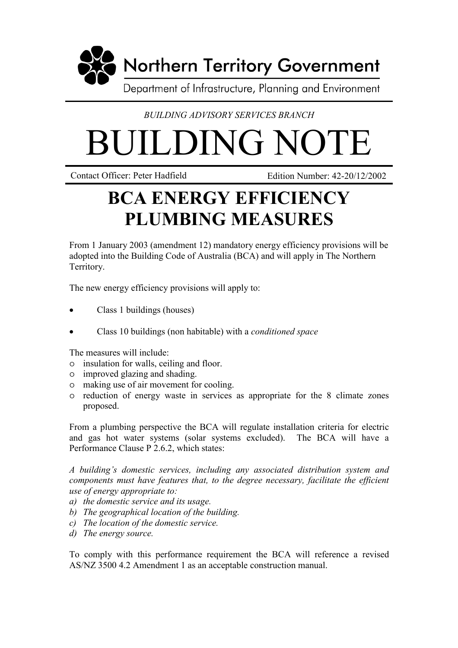

*BUILDING ADVISORY SERVICES BRANCH*

## **BUILDING NOT**

Contact Officer: Peter Hadfield Edition Number: 42-20/12/2002

## **BCA ENERGY EFFICIENCY PLUMBING MEASURES**

From 1 January 2003 (amendment 12) mandatory energy efficiency provisions will be adopted into the Building Code of Australia (BCA) and will apply in The Northern Territory.

The new energy efficiency provisions will apply to:

- Class 1 buildings (houses)
- Class 10 buildings (non habitable) with a *conditioned space*

The measures will include:

- insulation for walls, ceiling and floor.
- improved glazing and shading.
- making use of air movement for cooling.
- reduction of energy waste in services as appropriate for the 8 climate zones proposed.

From a plumbing perspective the BCA will regulate installation criteria for electric and gas hot water systems (solar systems excluded). The BCA will have a Performance Clause P 2.6.2, which states:

*A building's domestic services, including any associated distribution system and components must have features that, to the degree necessary, facilitate the efficient use of energy appropriate to:*

- *a) the domestic service and its usage.*
- *b) The geographical location of the building.*
- *c) The location of the domestic service.*
- *d) The energy source.*

To comply with this performance requirement the BCA will reference a revised AS/NZ 3500 4.2 Amendment 1 as an acceptable construction manual.